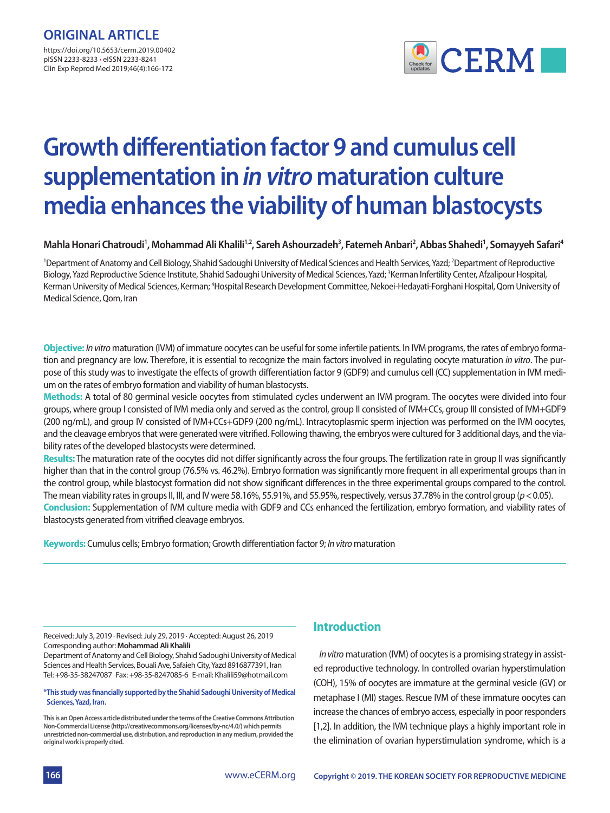

# **Growth differentiation factor 9 and cumulus cell supplementation in in vitro maturation culture media enhances the viability of human blastocysts**

### Mahla Honari Chatroudi<sup>1</sup>, Mohammad Ali Khalili<sup>1,2</sup>, Sareh Ashourzadeh<sup>3</sup>, Fatemeh Anbari<sup>2</sup>, Abbas Shahedi<sup>1</sup>, Somayyeh Safari<sup>4</sup>

<sup>1</sup>Department of Anatomy and Cell Biology, Shahid Sadoughi University of Medical Sciences and Health Services, Yazd; <sup>2</sup>Department of Reproductive Biology, Yazd Reproductive Science Institute, Shahid Sadoughi University of Medical Sciences, Yazd; <sup>3</sup>Kerman Infertility Center, Afzalipour Hospital, Kerman University of Medical Sciences, Kerman; <sup>4</sup>Hospital Research Development Committee, Nekoei-Hedayati-Forghani Hospital, Qom University of Medical Science, Qom, Iran

**Objective:** *In vitro* maturation (IVM) of immature oocytes can be useful for some infertile patients. In IVM programs, the rates of embryo formation and pregnancy are low. Therefore, it is essential to recognize the main factors involved in regulating oocyte maturation *in vitro*. The purpose of this study was to investigate the effects of growth differentiation factor 9 (GDF9) and cumulus cell (CC) supplementation in IVM medium on the rates of embryo formation and viability of human blastocysts.

**Methods:** A total of 80 germinal vesicle oocytes from stimulated cycles underwent an IVM program. The oocytes were divided into four groups, where group I consisted of IVM media only and served as the control, group II consisted of IVM+CCs, group III consisted of IVM+GDF9 (200 ng/mL), and group IV consisted of IVM+CCs+GDF9 (200 ng/mL). Intracytoplasmic sperm injection was performed on the IVM oocytes, and the cleavage embryos that were generated were vitrified. Following thawing, the embryos were cultured for 3 additional days, and the viability rates of the developed blastocysts were determined.

**Results:** The maturation rate of the oocytes did not differ significantly across the four groups. The fertilization rate in group II was significantly higher than that in the control group (76.5% vs. 46.2%). Embryo formation was significantly more frequent in all experimental groups than in the control group, while blastocyst formation did not show significant differences in the three experimental groups compared to the control. The mean viability rates in groups II, III, and IV were 58.16%, 55.91%, and 55.95%, respectively, versus 37.78% in the control group (*p*< 0.05). **Conclusion:** Supplementation of IVM culture media with GDF9 and CCs enhanced the fertilization, embryo formation, and viability rates of blastocysts generated from vitrified cleavage embryos.

**Keywords:** Cumulus cells; Embryo formation; Growth differentiation factor 9; *In vitro* maturation

Received: July 3, 2019 ∙ Revised: July 29, 2019 ∙ Accepted: August 26, 2019 Corresponding author: **Mohammad Ali Khalili** 

Department of Anatomy and Cell Biology, Shahid Sadoughi University of Medical Sciences and Health Services, Bouali Ave, Safaieh City, Yazd 8916877391, Iran Tel: +98-35-38247087 Fax: +98-35-8247085-6 E-mail: Khalili59@hotmail.com

#### **\*This study was financially supported by the Shahid Sadoughi University of Medical Sciences, Yazd, Iran.**

**This is an Open Access article distributed under the terms of the Creative Commons Attribution Non-Commercial License (http://creativecommons.org/licenses/by-nc/4.0/) which permits unrestricted non-commercial use, distribution, and reproduction in any medium, provided the original work is properly cited.**

## **Introduction**

*In vitro* maturation (IVM) of oocytes is a promising strategy in assisted reproductive technology. In controlled ovarian hyperstimulation (COH), 15% of oocytes are immature at the germinal vesicle (GV) or metaphase I (MI) stages. Rescue IVM of these immature oocytes can increase the chances of embryo access, especially in poor responders [1,2]. In addition, the IVM technique plays a highly important role in the elimination of ovarian hyperstimulation syndrome, which is a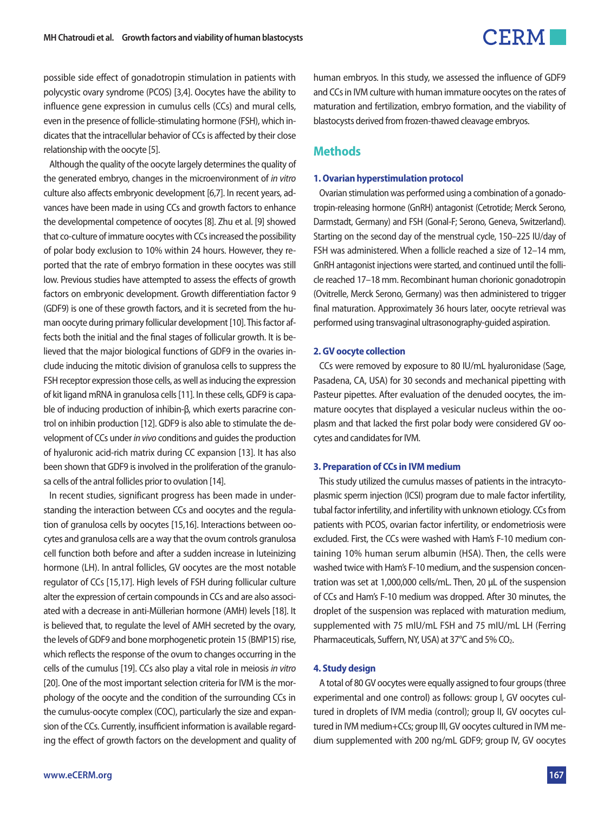

possible side effect of gonadotropin stimulation in patients with polycystic ovary syndrome (PCOS) [3,4]. Oocytes have the ability to influence gene expression in cumulus cells (CCs) and mural cells, even in the presence of follicle-stimulating hormone (FSH), which indicates that the intracellular behavior of CCs is affected by their close relationship with the oocyte [5].

Although the quality of the oocyte largely determines the quality of the generated embryo, changes in the microenvironment of *in vitro* culture also affects embryonic development [6,7]. In recent years, advances have been made in using CCs and growth factors to enhance the developmental competence of oocytes [8]. Zhu et al. [9] showed that co-culture of immature oocytes with CCs increased the possibility of polar body exclusion to 10% within 24 hours. However, they reported that the rate of embryo formation in these oocytes was still low. Previous studies have attempted to assess the effects of growth factors on embryonic development. Growth differentiation factor 9 (GDF9) is one of these growth factors, and it is secreted from the human oocyte during primary follicular development [10]. This factor affects both the initial and the final stages of follicular growth. It is believed that the major biological functions of GDF9 in the ovaries include inducing the mitotic division of granulosa cells to suppress the FSH receptor expression those cells, as well as inducing the expression of kit ligand mRNA in granulosa cells [11]. In these cells, GDF9 is capable of inducing production of inhibin-β, which exerts paracrine control on inhibin production [12]. GDF9 is also able to stimulate the development of CCs under *in vivo* conditions and guides the production of hyaluronic acid-rich matrix during CC expansion [13]. It has also been shown that GDF9 is involved in the proliferation of the granulosa cells of the antral follicles prior to ovulation [14].

In recent studies, significant progress has been made in understanding the interaction between CCs and oocytes and the regulation of granulosa cells by oocytes [15,16]. Interactions between oocytes and granulosa cells are a way that the ovum controls granulosa cell function both before and after a sudden increase in luteinizing hormone (LH). In antral follicles, GV oocytes are the most notable regulator of CCs [15,17]. High levels of FSH during follicular culture alter the expression of certain compounds in CCs and are also associated with a decrease in anti-Müllerian hormone (AMH) levels [18]. It is believed that, to regulate the level of AMH secreted by the ovary, the levels of GDF9 and bone morphogenetic protein 15 (BMP15) rise, which reflects the response of the ovum to changes occurring in the cells of the cumulus [19]. CCs also play a vital role in meiosis *in vitro* [20]. One of the most important selection criteria for IVM is the morphology of the oocyte and the condition of the surrounding CCs in the cumulus-oocyte complex (COC), particularly the size and expansion of the CCs. Currently, insufficient information is available regarding the effect of growth factors on the development and quality of human embryos. In this study, we assessed the influence of GDF9 and CCs in IVM culture with human immature oocytes on the rates of maturation and fertilization, embryo formation, and the viability of blastocysts derived from frozen-thawed cleavage embryos.

#### **Methods**

#### **1.Ovarian hyperstimulation protocol**

Ovarian stimulation was performed using a combination of a gonadotropin-releasing hormone (GnRH) antagonist (Cetrotide; Merck Serono, Darmstadt, Germany) and FSH (Gonal-F; Serono, Geneva, Switzerland). Starting on the second day of the menstrual cycle, 150–225 IU/day of FSH was administered. When a follicle reached a size of 12–14 mm, GnRH antagonist injections were started, and continued until the follicle reached 17–18 mm. Recombinant human chorionic gonadotropin (Ovitrelle, Merck Serono, Germany) was then administered to trigger final maturation. Approximately 36 hours later, oocyte retrieval was performed using transvaginal ultrasonography-guided aspiration.

#### **2. GV oocyte collection**

CCs were removed by exposure to 80 IU/mL hyaluronidase (Sage, Pasadena, CA, USA) for 30 seconds and mechanical pipetting with Pasteur pipettes. After evaluation of the denuded oocytes, the immature oocytes that displayed a vesicular nucleus within the ooplasm and that lacked the first polar body were considered GV oocytes and candidates for IVM.

#### **3. Preparation of CCs in IVM medium**

This study utilized the cumulus masses of patients in the intracytoplasmic sperm injection (ICSI) program due to male factor infertility, tubal factor infertility, and infertility with unknown etiology. CCs from patients with PCOS, ovarian factor infertility, or endometriosis were excluded. First, the CCs were washed with Ham's F-10 medium containing 10% human serum albumin (HSA). Then, the cells were washed twice with Ham's F-10 medium, and the suspension concentration was set at 1,000,000 cells/mL. Then, 20 μL of the suspension of CCs and Ham's F-10 medium was dropped. After 30 minutes, the droplet of the suspension was replaced with maturation medium, supplemented with 75 mIU/mL FSH and 75 mIU/mL LH (Ferring Pharmaceuticals, Suffern, NY, USA) at 37°C and 5% CO<sub>2</sub>.

#### **4. Study design**

A total of 80 GV oocytes were equally assigned to four groups (three experimental and one control) as follows: group I, GV oocytes cultured in droplets of IVM media (control); group II, GV oocytes cultured in IVM medium+CCs; group III, GV oocytes cultured in IVM medium supplemented with 200 ng/mL GDF9; group IV, GV oocytes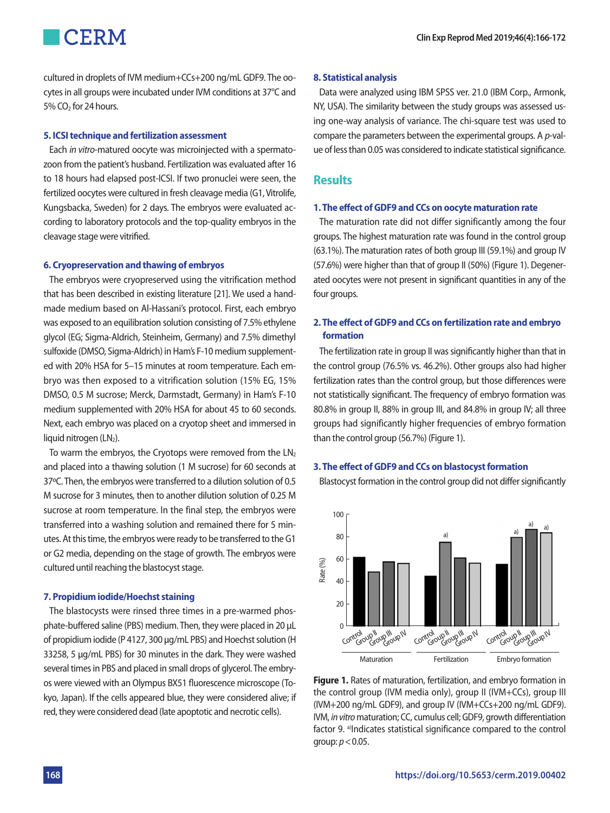cultured in droplets of IVM medium+CCs+200 ng/mL GDF9. The oocytes in all groups were incubated under IVM conditions at 37°C and  $5\%$  CO<sub>2</sub> for 24 hours.

#### **5. ICSI technique and fertilization assessment**

Each *in vitro*-matured oocyte was microinjected with a spermatozoon from the patient's husband. Fertilization was evaluated after 16 to 18 hours had elapsed post-ICSI. If two pronuclei were seen, the fertilized oocytes were cultured in fresh cleavage media (G1, Vitrolife, Kungsbacka, Sweden) for 2 days. The embryos were evaluated according to laboratory protocols and the top-quality embryos in the cleavage stage were vitrified.

#### **6. Cryopreservation and thawing of embryos**

The embryos were cryopreserved using the vitrification method that has been described in existing literature [21]. We used a handmade medium based on Al-Hassani's protocol. First, each embryo was exposed to an equilibration solution consisting of 7.5% ethylene glycol (EG; Sigma-Aldrich, Steinheim, Germany) and 7.5% dimethyl sulfoxide (DMSO, Sigma-Aldrich) in Ham's F-10 medium supplemented with 20% HSA for 5–15 minutes at room temperature. Each embryo was then exposed to a vitrification solution (15% EG, 15% DMSO, 0.5 M sucrose; Merck, Darmstadt, Germany) in Ham's F-10 medium supplemented with 20% HSA for about 45 to 60 seconds. Next, each embryo was placed on a cryotop sheet and immersed in liquid nitrogen (LN2).

To warm the embryos, the Cryotops were removed from the  $LN<sub>2</sub>$ and placed into a thawing solution (1 M sucrose) for 60 seconds at 37ºC. Then, the embryos were transferred to a dilution solution of 0.5 M sucrose for 3 minutes, then to another dilution solution of 0.25 M sucrose at room temperature. In the final step, the embryos were transferred into a washing solution and remained there for 5 minutes. At this time, the embryos were ready to be transferred to the G1 or G2 media, depending on the stage of growth. The embryos were cultured until reaching the blastocyst stage.

#### **7. Propidium iodide/Hoechst staining**

The blastocysts were rinsed three times in a pre-warmed phosphate-buffered saline (PBS) medium. Then, they were placed in 20 μL of propidium iodide (P 4127, 300 μg/mL PBS) and Hoechst solution (H 33258, 5 μg/mL PBS) for 30 minutes in the dark. They were washed several times in PBS and placed in small drops of glycerol. The embryos were viewed with an Olympus BX51 fluorescence microscope (Tokyo, Japan). If the cells appeared blue, they were considered alive; if red, they were considered dead (late apoptotic and necrotic cells).

#### **8. Statistical analysis**

Data were analyzed using IBM SPSS ver. 21.0 (IBM Corp., Armonk, NY, USA). The similarity between the study groups was assessed using one-way analysis of variance. The chi-square test was used to compare the parameters between the experimental groups. A *p*-value of less than 0.05 was considered to indicate statistical significance.

### **Results**

#### **1. The effect of GDF9 and CCs on oocyte maturation rate**

The maturation rate did not differ significantly among the four groups. The highest maturation rate was found in the control group (63.1%). The maturation rates of both group III (59.1%) and group IV (57.6%) were higher than that of group II (50%) (Figure 1). Degenerated oocytes were not present in significant quantities in any of the four groups.

#### **2. The effect of GDF9 and CCs on fertilization rate and embryo formation**

The fertilization rate in group II was significantly higher than that in the control group (76.5% vs. 46.2%). Other groups also had higher fertilization rates than the control group, but those differences were not statistically significant. The frequency of embryo formation was 80.8% in group II, 88% in group III, and 84.8% in group IV; all three groups had significantly higher frequencies of embryo formation than the control group (56.7%) (Figure 1).

#### **3. The effect of GDF9 and CCs on blastocyst formation**

Blastocyst formation in the control group did not differ significantly



**Figure 1.** Rates of maturation, fertilization, and embryo formation in the control group (IVM media only), group II (IVM+CCs), group III (IVM+200 ng/mL GDF9), and group IV (IVM+CCs+200 ng/mL GDF9). IVM, *in vitro* maturation; CC, cumulus cell; GDF9, growth differentiation factor 9. <sup>a)</sup>Indicates statistical significance compared to the control group: *p*< 0.05.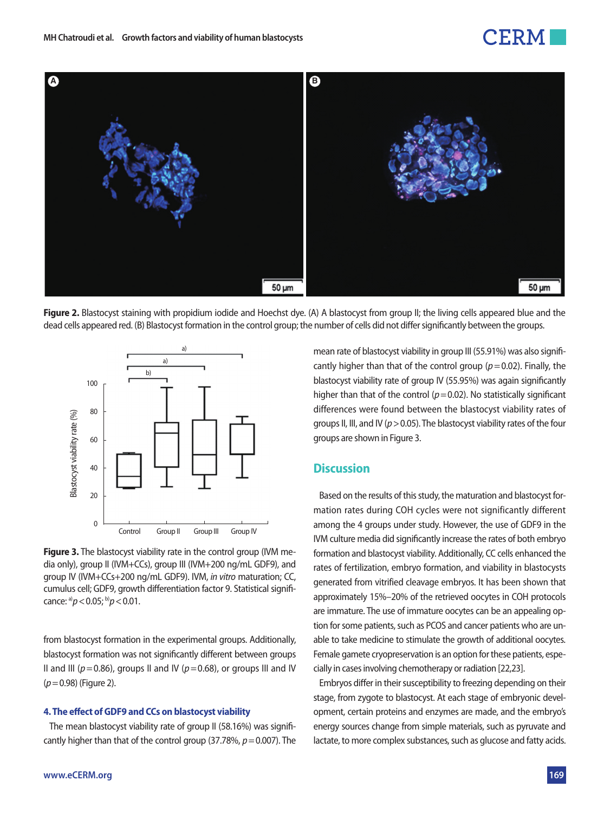## FRM



**Figure 2.** Blastocyst staining with propidium iodide and Hoechst dye. (A) A blastocyst from group II; the living cells appeared blue and the dead cells appeared red. (B) Blastocyst formation in the control group; the number of cells did not differ significantly between the groups.



**Figure 3.** The blastocyst viability rate in the control group (IVM media only), group II (IVM+CCs), group III (IVM+200 ng/mL GDF9), and group IV (IVM+CCs+200 ng/mL GDF9). IVM, *in vitro* maturation; CC, cumulus cell; GDF9, growth differentiation factor 9. Statistical significance: a)*p*< 0.05; b)*p*< 0.01.

from blastocyst formation in the experimental groups. Additionally, blastocyst formation was not significantly different between groups II and III ( $p = 0.86$ ), groups II and IV ( $p = 0.68$ ), or groups III and IV (*p*= 0.98) (Figure 2).

#### **4. The effect of GDF9 and CCs on blastocyst viability**

The mean blastocyst viability rate of group II (58.16%) was significantly higher than that of the control group (37.78%, *p*= 0.007). The mean rate of blastocyst viability in group III (55.91%) was also significantly higher than that of the control group  $(p= 0.02)$ . Finally, the blastocyst viability rate of group IV (55.95%) was again significantly higher than that of the control  $(p= 0.02)$ . No statistically significant differences were found between the blastocyst viability rates of groups II, III, and IV (*p*> 0.05). The blastocyst viability rates of the four groups are shown in Figure 3.

### **Discussion**

Based on the results of this study, the maturation and blastocyst formation rates during COH cycles were not significantly different among the 4 groups under study. However, the use of GDF9 in the IVM culture media did significantly increase the rates of both embryo formation and blastocyst viability. Additionally, CC cells enhanced the rates of fertilization, embryo formation, and viability in blastocysts generated from vitrified cleavage embryos. It has been shown that approximately 15%–20% of the retrieved oocytes in COH protocols are immature. The use of immature oocytes can be an appealing option for some patients, such as PCOS and cancer patients who are unable to take medicine to stimulate the growth of additional oocytes. Female gamete cryopreservation is an option for these patients, especially in cases involving chemotherapy or radiation [22,23].

Embryos differ in their susceptibility to freezing depending on their stage, from zygote to blastocyst. At each stage of embryonic development, certain proteins and enzymes are made, and the embryo's energy sources change from simple materials, such as pyruvate and lactate, to more complex substances, such as glucose and fatty acids.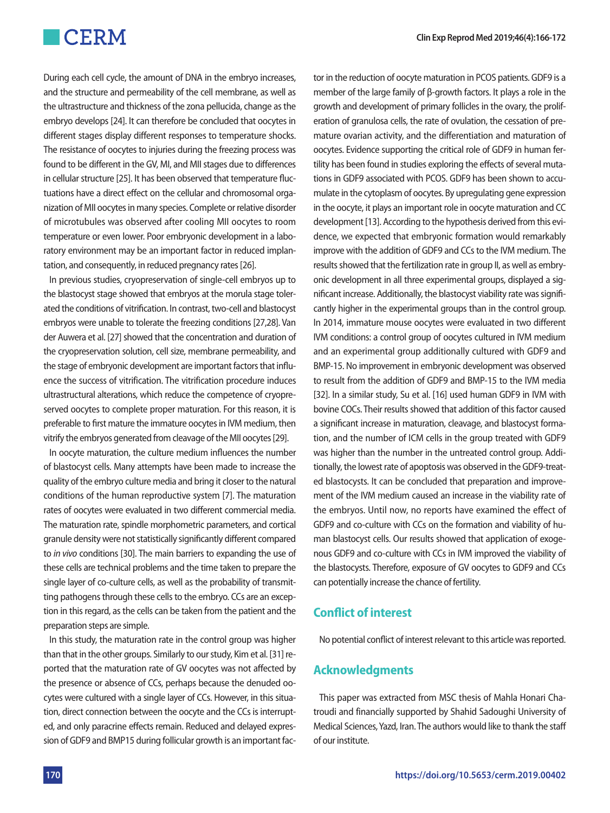During each cell cycle, the amount of DNA in the embryo increases, and the structure and permeability of the cell membrane, as well as the ultrastructure and thickness of the zona pellucida, change as the embryo develops [24]. It can therefore be concluded that oocytes in different stages display different responses to temperature shocks. The resistance of oocytes to injuries during the freezing process was found to be different in the GV, MI, and MII stages due to differences in cellular structure [25]. It has been observed that temperature fluctuations have a direct effect on the cellular and chromosomal organization of MII oocytes in many species. Complete or relative disorder of microtubules was observed after cooling MII oocytes to room temperature or even lower. Poor embryonic development in a laboratory environment may be an important factor in reduced implantation, and consequently, in reduced pregnancy rates [26].

In previous studies, cryopreservation of single-cell embryos up to the blastocyst stage showed that embryos at the morula stage tolerated the conditions of vitrification. In contrast, two-cell and blastocyst embryos were unable to tolerate the freezing conditions [27,28]. Van der Auwera et al. [27] showed that the concentration and duration of the cryopreservation solution, cell size, membrane permeability, and the stage of embryonic development are important factors that influence the success of vitrification. The vitrification procedure induces ultrastructural alterations, which reduce the competence of cryopreserved oocytes to complete proper maturation. For this reason, it is preferable to first mature the immature oocytes in IVM medium, then vitrify the embryos generated from cleavage of the MII oocytes [29].

In oocyte maturation, the culture medium influences the number of blastocyst cells. Many attempts have been made to increase the quality of the embryo culture media and bring it closer to the natural conditions of the human reproductive system [7]. The maturation rates of oocytes were evaluated in two different commercial media. The maturation rate, spindle morphometric parameters, and cortical granule density were not statistically significantly different compared to *in vivo* conditions [30]. The main barriers to expanding the use of these cells are technical problems and the time taken to prepare the single layer of co-culture cells, as well as the probability of transmitting pathogens through these cells to the embryo. CCs are an exception in this regard, as the cells can be taken from the patient and the preparation steps are simple.

In this study, the maturation rate in the control group was higher than that in the other groups. Similarly to our study, Kim et al. [31] reported that the maturation rate of GV oocytes was not affected by the presence or absence of CCs, perhaps because the denuded oocytes were cultured with a single layer of CCs. However, in this situation, direct connection between the oocyte and the CCs is interrupted, and only paracrine effects remain. Reduced and delayed expression of GDF9 and BMP15 during follicular growth is an important factor in the reduction of oocyte maturation in PCOS patients. GDF9 is a member of the large family of β-growth factors. It plays a role in the growth and development of primary follicles in the ovary, the proliferation of granulosa cells, the rate of ovulation, the cessation of premature ovarian activity, and the differentiation and maturation of oocytes. Evidence supporting the critical role of GDF9 in human fertility has been found in studies exploring the effects of several mutations in GDF9 associated with PCOS. GDF9 has been shown to accumulate in the cytoplasm of oocytes. By upregulating gene expression in the oocyte, it plays an important role in oocyte maturation and CC development [13]. According to the hypothesis derived from this evidence, we expected that embryonic formation would remarkably improve with the addition of GDF9 and CCs to the IVM medium. The results showed that the fertilization rate in group II, as well as embryonic development in all three experimental groups, displayed a significant increase. Additionally, the blastocyst viability rate was significantly higher in the experimental groups than in the control group. In 2014, immature mouse oocytes were evaluated in two different IVM conditions: a control group of oocytes cultured in IVM medium and an experimental group additionally cultured with GDF9 and BMP-15. No improvement in embryonic development was observed to result from the addition of GDF9 and BMP-15 to the IVM media [32]. In a similar study, Su et al. [16] used human GDF9 in IVM with bovine COCs. Their results showed that addition of this factor caused a significant increase in maturation, cleavage, and blastocyst formation, and the number of ICM cells in the group treated with GDF9 was higher than the number in the untreated control group. Additionally, the lowest rate of apoptosis was observed in the GDF9-treated blastocysts. It can be concluded that preparation and improvement of the IVM medium caused an increase in the viability rate of the embryos. Until now, no reports have examined the effect of GDF9 and co-culture with CCs on the formation and viability of human blastocyst cells. Our results showed that application of exogenous GDF9 and co-culture with CCs in IVM improved the viability of the blastocysts. Therefore, exposure of GV oocytes to GDF9 and CCs can potentially increase the chance of fertility.

## **Conflict of interest**

No potential conflict of interest relevant to this article was reported.

## **Acknowledgments**

This paper was extracted from MSC thesis of Mahla Honari Chatroudi and financially supported by Shahid Sadoughi University of Medical Sciences, Yazd, Iran. The authors would like to thank the staff of our institute.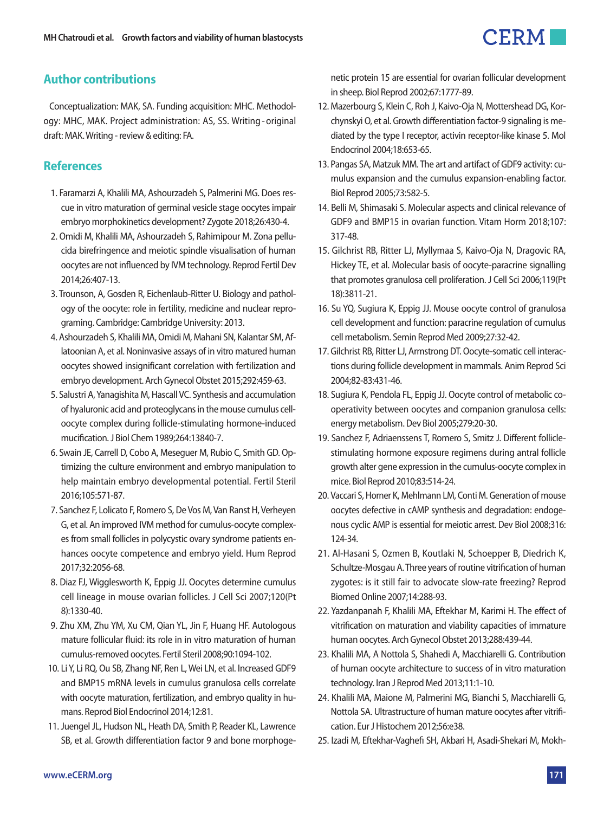## CERM.

## **Author contributions**

Conceptualization: MAK, SA. Funding acquisition: MHC. Methodology: MHC, MAK. Project administration: AS, SS. Writing - original draft: MAK. Writing - review & editing: FA.

## **References**

- 1. Faramarzi A, Khalili MA, Ashourzadeh S, Palmerini MG. Does rescue in vitro maturation of germinal vesicle stage oocytes impair embryo morphokinetics development? Zygote 2018;26:430-4.
- 2. Omidi M, Khalili MA, Ashourzadeh S, Rahimipour M. Zona pellucida birefringence and meiotic spindle visualisation of human oocytes are not influenced by IVM technology. Reprod Fertil Dev 2014;26:407-13.
- 3. Trounson, A, Gosden R, Eichenlaub-Ritter U. Biology and pathology of the oocyte: role in fertility, medicine and nuclear reprograming. Cambridge: Cambridge University: 2013.
- 4. Ashourzadeh S, Khalili MA, Omidi M, Mahani SN, Kalantar SM, Aflatoonian A, et al. Noninvasive assays of in vitro matured human oocytes showed insignificant correlation with fertilization and embryo development. Arch Gynecol Obstet 2015;292:459-63.
- 5. Salustri A, Yanagishita M, Hascall VC. Synthesis and accumulation of hyaluronic acid and proteoglycans in the mouse cumulus celloocyte complex during follicle-stimulating hormone-induced mucification. J Biol Chem 1989;264:13840-7.
- 6. Swain JE, Carrell D, Cobo A, Meseguer M, Rubio C, Smith GD. Optimizing the culture environment and embryo manipulation to help maintain embryo developmental potential. Fertil Steril 2016;105:571-87.
- 7. Sanchez F, Lolicato F, Romero S, De Vos M, Van Ranst H, Verheyen G, et al. An improved IVM method for cumulus-oocyte complexes from small follicles in polycystic ovary syndrome patients enhances oocyte competence and embryo yield. Hum Reprod 2017;32:2056-68.
- 8. Diaz FJ, Wigglesworth K, Eppig JJ. Oocytes determine cumulus cell lineage in mouse ovarian follicles. J Cell Sci 2007;120(Pt 8):1330-40.
- 9. Zhu XM, Zhu YM, Xu CM, Qian YL, Jin F, Huang HF. Autologous mature follicular fluid: its role in in vitro maturation of human cumulus-removed oocytes. Fertil Steril 2008;90:1094-102.
- 10. Li Y, Li RQ, Ou SB, Zhang NF, Ren L, Wei LN, et al. Increased GDF9 and BMP15 mRNA levels in cumulus granulosa cells correlate with oocyte maturation, fertilization, and embryo quality in humans. Reprod Biol Endocrinol 2014;12:81.
- 11. Juengel JL, Hudson NL, Heath DA, Smith P, Reader KL, Lawrence SB, et al. Growth differentiation factor 9 and bone morphoge-

netic protein 15 are essential for ovarian follicular development in sheep. Biol Reprod 2002;67:1777-89.

- 12. Mazerbourg S, Klein C, Roh J, Kaivo-Oja N, Mottershead DG, Korchynskyi O, et al. Growth differentiation factor-9 signaling is mediated by the type I receptor, activin receptor-like kinase 5. Mol Endocrinol 2004;18:653-65.
- 13. Pangas SA, Matzuk MM. The art and artifact of GDF9 activity: cumulus expansion and the cumulus expansion-enabling factor. Biol Reprod 2005;73:582-5.
- 14. Belli M, Shimasaki S. Molecular aspects and clinical relevance of GDF9 and BMP15 in ovarian function. Vitam Horm 2018;107: 317-48.
- 15. Gilchrist RB, Ritter LJ, Myllymaa S, Kaivo-Oja N, Dragovic RA, Hickey TE, et al. Molecular basis of oocyte-paracrine signalling that promotes granulosa cell proliferation. J Cell Sci 2006;119(Pt 18):3811-21.
- 16. Su YQ, Sugiura K, Eppig JJ. Mouse oocyte control of granulosa cell development and function: paracrine regulation of cumulus cell metabolism. Semin Reprod Med 2009;27:32-42.
- 17. Gilchrist RB, Ritter LJ, Armstrong DT. Oocyte-somatic cell interactions during follicle development in mammals. Anim Reprod Sci 2004;82-83:431-46.
- 18. Sugiura K, Pendola FL, Eppig JJ. Oocyte control of metabolic cooperativity between oocytes and companion granulosa cells: energy metabolism. Dev Biol 2005;279:20-30.
- 19. Sanchez F, Adriaenssens T, Romero S, Smitz J. Different folliclestimulating hormone exposure regimens during antral follicle growth alter gene expression in the cumulus-oocyte complex in mice. Biol Reprod 2010;83:514-24.
- 20. Vaccari S, Horner K, Mehlmann LM, Conti M. Generation of mouse oocytes defective in cAMP synthesis and degradation: endogenous cyclic AMP is essential for meiotic arrest. Dev Biol 2008;316: 124-34.
- 21. Al-Hasani S, Ozmen B, Koutlaki N, Schoepper B, Diedrich K, Schultze-Mosgau A. Three years of routine vitrification of human zygotes: is it still fair to advocate slow-rate freezing? Reprod Biomed Online 2007;14:288-93.
- 22. Yazdanpanah F, Khalili MA, Eftekhar M, Karimi H. The effect of vitrification on maturation and viability capacities of immature human oocytes. Arch Gynecol Obstet 2013;288:439-44.
- 23. Khalili MA, A Nottola S, Shahedi A, Macchiarelli G. Contribution of human oocyte architecture to success of in vitro maturation technology. Iran J Reprod Med 2013;11:1-10.
- 24. Khalili MA, Maione M, Palmerini MG, Bianchi S, Macchiarelli G, Nottola SA. Ultrastructure of human mature oocytes after vitrification. Eur J Histochem 2012;56:e38.
- 25. Izadi M, Eftekhar-Vaghefi SH, Akbari H, Asadi-Shekari M, Mokh-